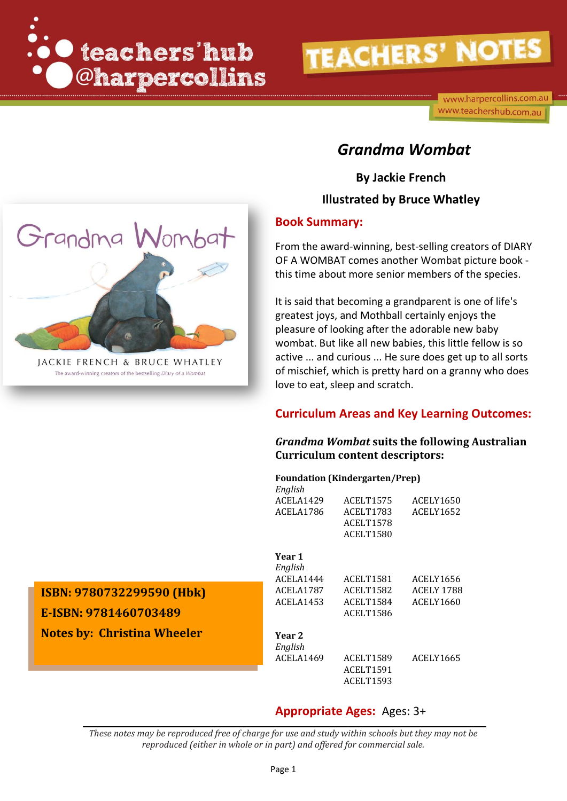

www.harpercollins.com.au www.teachershub.com.au

## *Grandma Wombat*

**By Jackie French**

### **Illustrated by Bruce Whatley**

### **Book Summary:**

From the award-winning, best-selling creators of DIARY OF A WOMBAT comes another Wombat picture book this time about more senior members of the species.

It is said that becoming a grandparent is one of life's greatest joys, and Mothball certainly enjoys the pleasure of looking after the adorable new baby wombat. But like all new babies, this little fellow is so active ... and curious ... He sure does get up to all sorts of mischief, which is pretty hard on a granny who does love to eat, sleep and scratch.

### **Curriculum Areas and Key Learning Outcomes:**

#### *Grandma Wombat* **suits the following Australian Curriculum content descriptors:**

#### **Foundation (Kindergarten/Prep)**

| English   |                  |                   |
|-----------|------------------|-------------------|
| ACELA1429 | ACELT1575        | ACELY1650         |
| ACELA1786 | <b>ACELT1783</b> | ACELY1652         |
|           | ACELT1578        |                   |
|           | <b>ACELT1580</b> |                   |
| Year 1    |                  |                   |
| English   |                  |                   |
| ACELA1444 | ACELT1581        | ACELY1656         |
| ACELA1787 | ACELT1582        | <b>ACELY 1788</b> |
| ACELA1453 | ACELT1584        | ACELY1660         |
|           | <b>ACELT1586</b> |                   |
| Year 2    |                  |                   |
| English   |                  |                   |
| ACELA1469 | ACELT1589        | ACELY1665         |
|           | ACELT1591        |                   |
|           | ACELT1593        |                   |
|           |                  |                   |

### **Appropriate Ages:** Ages: 3+

*These notes may be reproduced free of charge for use and study within schools but they may not be reproduced (either in whole or in part) and offered for commercial sale.*



JACKIE FRENCH & BRUCE WHATLEY The award-winning creators of the bestselling Diary of a Wombat

**E-ISBN: 9781460703489 Notes by: Christina Wheeler**

**ISBN: 9780732299590 (Hbk)**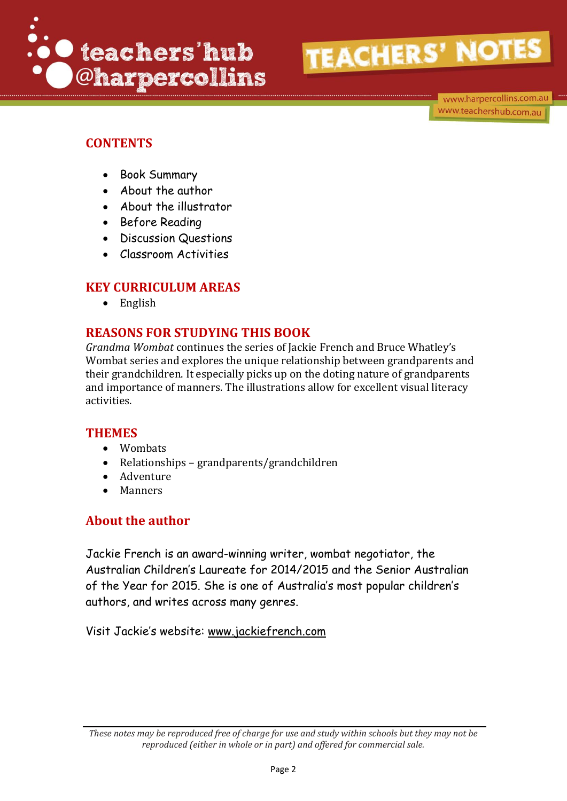

www.harpercollins.com.au www.teachershub.com.au

## **CONTENTS**

- Book Summary
- About the author
- About the illustrator
- Before Reading
- Discussion Questions
- Classroom Activities

### **KEY CURRICULUM AREAS**

• English

## **REASONS FOR STUDYING THIS BOOK**

*Grandma Wombat* continues the series of Jackie French and Bruce Whatley's Wombat series and explores the unique relationship between grandparents and their grandchildren. It especially picks up on the doting nature of grandparents and importance of manners. The illustrations allow for excellent visual literacy activities.

### **THEMES**

- Wombats
- Relationships grandparents/grandchildren
- Adventure
- Manners

### **About the author**

Jackie French is an award-winning writer, wombat negotiator, the Australian Children's Laureate for 2014/2015 and the Senior Australian of the Year for 2015. She is one of Australia's most popular children's authors, and writes across many genres.

Visit Jackie's website: [www.jackiefrench.com](http://www.jackiefrench.com/)

*These notes may be reproduced free of charge for use and study within schools but they may not be reproduced (either in whole or in part) and offered for commercial sale.*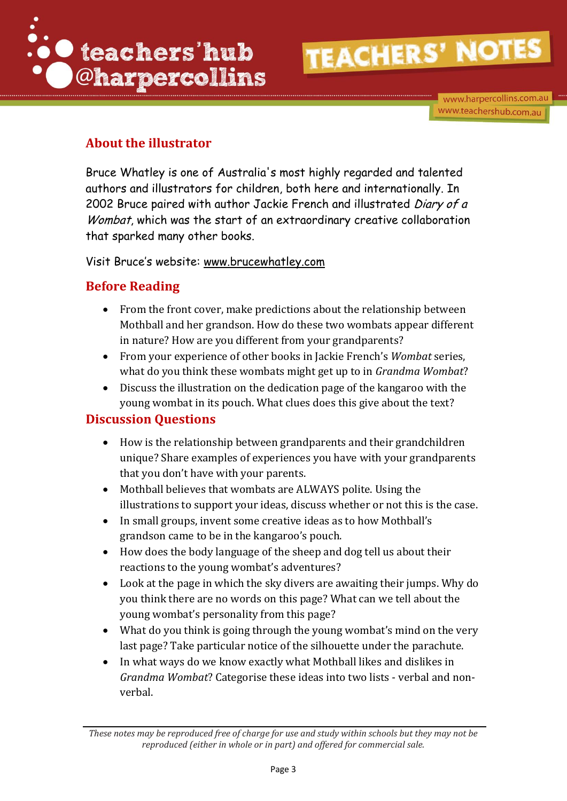

www.harpercollins.com.au www.teachershub.com.au

## **About the illustrator**

Bruce Whatley is one of Australia's most highly regarded and talented authors and illustrators for children, both here and internationally. In 2002 Bruce paired with author Jackie French and illustrated Diary of a Wombat, which was the start of an extraordinary creative collaboration that sparked many other books.

Visit Bruce's website: [www.brucewhatley.com](http://www.brucewhatley.com/)

## **Before Reading**

- From the front cover, make predictions about the relationship between Mothball and her grandson. How do these two wombats appear different in nature? How are you different from your grandparents?
- From your experience of other books in Jackie French's *Wombat* series, what do you think these wombats might get up to in *Grandma Wombat*?
- Discuss the illustration on the dedication page of the kangaroo with the young wombat in its pouch. What clues does this give about the text?

## **Discussion Questions**

- How is the relationship between grandparents and their grandchildren unique? Share examples of experiences you have with your grandparents that you don't have with your parents.
- Mothball believes that wombats are ALWAYS polite. Using the illustrations to support your ideas, discuss whether or not this is the case.
- In small groups, invent some creative ideas as to how Mothball's grandson came to be in the kangaroo's pouch.
- How does the body language of the sheep and dog tell us about their reactions to the young wombat's adventures?
- Look at the page in which the sky divers are awaiting their jumps. Why do you think there are no words on this page? What can we tell about the young wombat's personality from this page?
- What do you think is going through the young wombat's mind on the very last page? Take particular notice of the silhouette under the parachute.
- In what ways do we know exactly what Mothball likes and dislikes in *Grandma Wombat*? Categorise these ideas into two lists - verbal and nonverbal.

*These notes may be reproduced free of charge for use and study within schools but they may not be reproduced (either in whole or in part) and offered for commercial sale.*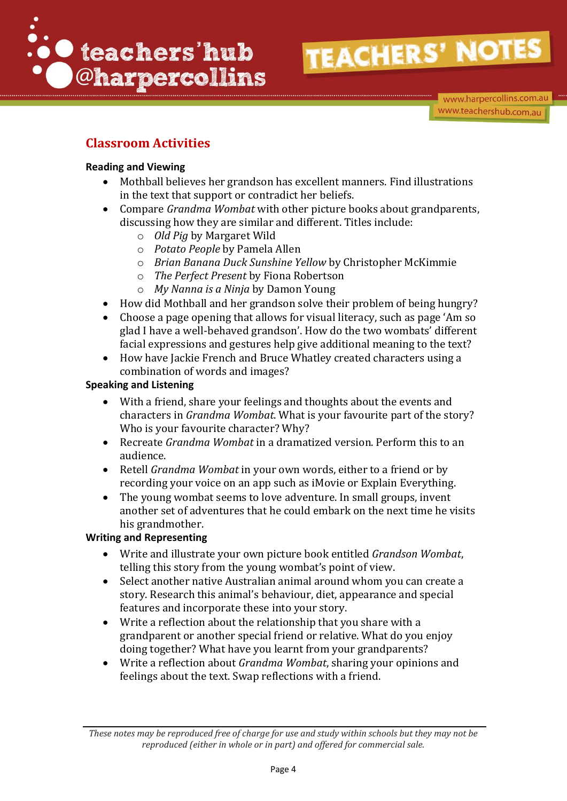

www.harpercollins.com.au www.teachershub.com.au

## **Classroom Activities**

### **Reading and Viewing**

- Mothball believes her grandson has excellent manners. Find illustrations in the text that support or contradict her beliefs.
- Compare *Grandma Wombat* with other picture books about grandparents, discussing how they are similar and different. Titles include:
	- o *Old Pig* by Margaret Wild
	- o *Potato People* by Pamela Allen
	- o *Brian Banana Duck Sunshine Yellow* by Christopher McKimmie
	- o *The Perfect Present* by Fiona Robertson
	- o *My Nanna is a Ninja* by Damon Young
- How did Mothball and her grandson solve their problem of being hungry?
- Choose a page opening that allows for visual literacy, such as page 'Am so glad I have a well-behaved grandson'. How do the two wombats' different facial expressions and gestures help give additional meaning to the text?
- How have Jackie French and Bruce Whatley created characters using a combination of words and images?

### **Speaking and Listening**

- With a friend, share your feelings and thoughts about the events and characters in *Grandma Wombat*. What is your favourite part of the story? Who is your favourite character? Why?
- Recreate *Grandma Wombat* in a dramatized version. Perform this to an audience.
- Retell *Grandma Wombat* in your own words, either to a friend or by recording your voice on an app such as iMovie or Explain Everything.
- The young wombat seems to love adventure. In small groups, invent another set of adventures that he could embark on the next time he visits his grandmother.

### **Writing and Representing**

- Write and illustrate your own picture book entitled *Grandson Wombat*, telling this story from the young wombat's point of view.
- Select another native Australian animal around whom you can create a story. Research this animal's behaviour, diet, appearance and special features and incorporate these into your story.
- Write a reflection about the relationship that you share with a grandparent or another special friend or relative. What do you enjoy doing together? What have you learnt from your grandparents?
- Write a reflection about *Grandma Wombat*, sharing your opinions and feelings about the text. Swap reflections with a friend.

*These notes may be reproduced free of charge for use and study within schools but they may not be reproduced (either in whole or in part) and offered for commercial sale.*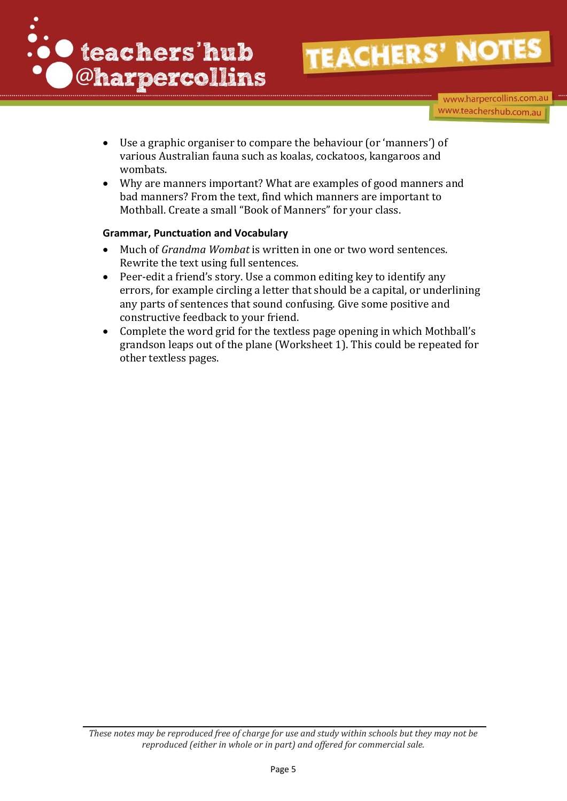

www.harpercollins.com.au www.teachershub.com.au

- Use a graphic organiser to compare the behaviour (or 'manners') of various Australian fauna such as koalas, cockatoos, kangaroos and wombats.
- Why are manners important? What are examples of good manners and bad manners? From the text, find which manners are important to Mothball. Create a small "Book of Manners" for your class.

#### **Grammar, Punctuation and Vocabulary**

- Much of *Grandma Wombat* is written in one or two word sentences. Rewrite the text using full sentences.
- Peer-edit a friend's story. Use a common editing key to identify any errors, for example circling a letter that should be a capital, or underlining any parts of sentences that sound confusing. Give some positive and constructive feedback to your friend.
- Complete the word grid for the textless page opening in which Mothball's grandson leaps out of the plane (Worksheet 1). This could be repeated for other textless pages.